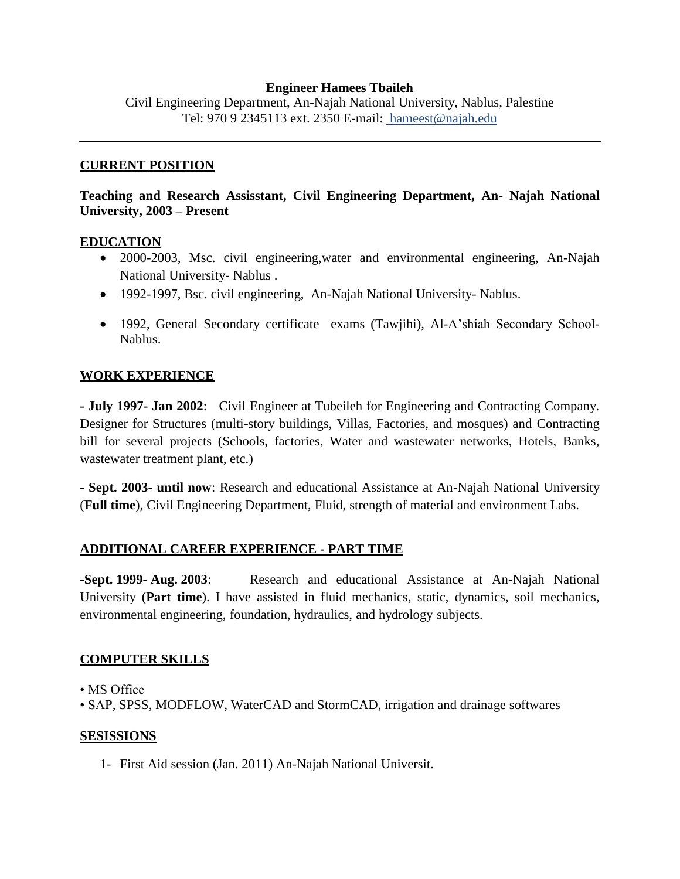#### **Engineer Hamees Tbaileh**

Civil Engineering Department, An-Najah National University, Nablus, Palestine Tel: 970 9 2345113 ext. 2350 E-mail: hameest@najah.edu

#### **CURRENT POSITION**

# **Teaching and Research Assisstant, Civil Engineering Department, An- Najah National University, 2003 – Present**

#### **EDUCATION**

- 2000-2003, Msc. civil engineering,water and environmental engineering, An-Najah National University- Nablus .
- 1992-1997, Bsc. civil engineering, An-Najah National University-Nablus.
- 1992, General Secondary certificate exams (Tawjihi), Al-A'shiah Secondary School-Nablus.

### **WORK EXPERIENCE**

**- July 1997- Jan 2002**: Civil Engineer at Tubeileh for Engineering and Contracting Company. Designer for Structures (multi-story buildings, Villas, Factories, and mosques) and Contracting bill for several projects (Schools, factories, Water and wastewater networks, Hotels, Banks, wastewater treatment plant, etc.)

**- Sept. 2003- until now**: Research and educational Assistance at An-Najah National University (**Full time**), Civil Engineering Department, Fluid, strength of material and environment Labs.

### **ADDITIONAL CAREER EXPERIENCE - PART TIME**

**-Sept. 1999- Aug. 2003**: Research and educational Assistance at An-Najah National University (**Part time**). I have assisted in fluid mechanics, static, dynamics, soil mechanics, environmental engineering, foundation, hydraulics, and hydrology subjects.

### **COMPUTER SKILLS**

• MS Office

• SAP, SPSS, MODFLOW, WaterCAD and StormCAD, irrigation and drainage softwares

#### **SESISSIONS**

1- First Aid session (Jan. 2011) An-Najah National Universit.